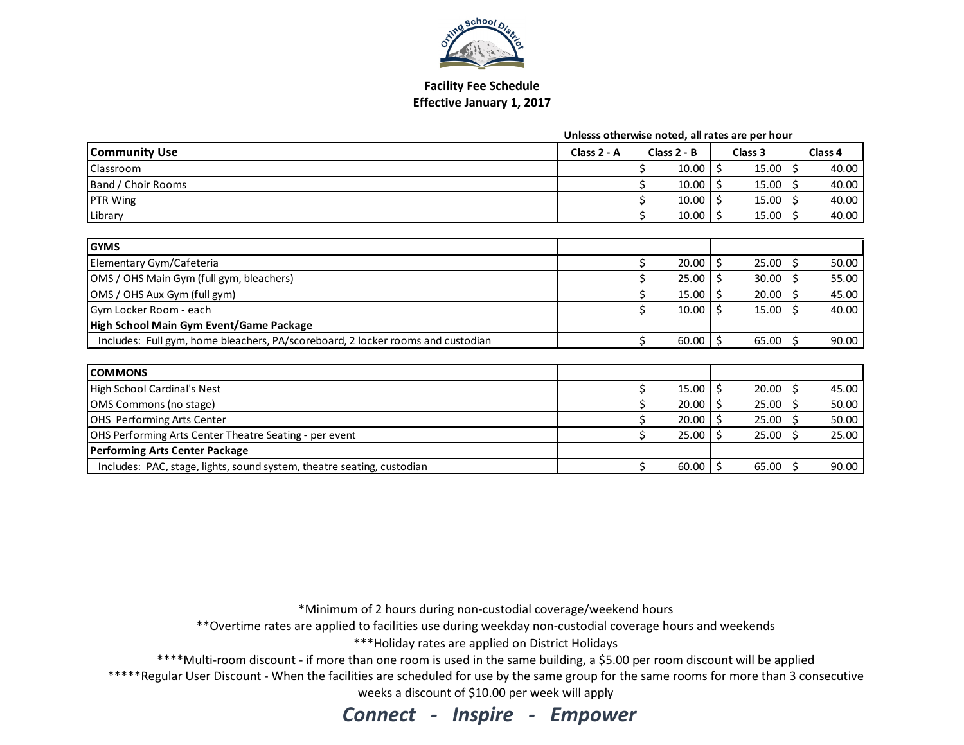

## Facility Fee Schedule Effective January 1, 2017

|  |  | Unlesss otherwise noted, all rates are per hour |
|--|--|-------------------------------------------------|
|--|--|-------------------------------------------------|

| <b>Community Use</b>                                                            | Class 2 - A | Class 2 - B |       | Class 3      |    | Class 4 |
|---------------------------------------------------------------------------------|-------------|-------------|-------|--------------|----|---------|
| Classroom                                                                       |             |             | 10.00 | \$<br>15.00  | Ś  | 40.00   |
| Band / Choir Rooms                                                              |             |             | 10.00 | Ś.<br>15.00  |    | 40.00   |
| PTR Wing                                                                        |             |             | 10.00 | 15.00<br>\$. |    | 40.00   |
| Library                                                                         |             | Ś           | 10.00 | Ŝ.<br>15.00  |    | 40.00   |
|                                                                                 |             |             |       |              |    |         |
| <b>GYMS</b>                                                                     |             |             |       |              |    |         |
| Elementary Gym/Cafeteria                                                        |             | \$          | 20.00 | Ś.<br>25.00  |    | 50.00   |
| OMS / OHS Main Gym (full gym, bleachers)                                        |             |             | 25.00 | \$<br>30.00  | Ś  | 55.00   |
| OMS / OHS Aux Gym (full gym)                                                    |             |             | 15.00 | 20.00        |    | 45.00   |
| Gym Locker Room - each                                                          |             | \$          | 10.00 | Ŝ<br>15.00   |    | 40.00   |
| High School Main Gym Event/Game Package                                         |             |             |       |              |    |         |
| Includes: Full gym, home bleachers, PA/scoreboard, 2 locker rooms and custodian |             | Ś.          | 60.00 | Ŝ.<br>65.00  | Ś. | 90.00   |
|                                                                                 |             |             |       |              |    |         |
| <b>COMMONS</b>                                                                  |             |             |       |              |    |         |
| High School Cardinal's Nest                                                     |             | Ś           | 15.00 | Ś<br>20.00   |    | 45.00   |
| OMS Commons (no stage)                                                          |             |             | 20.00 | \$<br>25.00  |    | 50.00   |
| OHS Performing Arts Center                                                      |             |             | 20.00 | 25.00        |    | 50.00   |
| OHS Performing Arts Center Theatre Seating - per event                          |             | \$          | 25.00 | 25.00<br>Ŝ   |    | 25.00   |
| <b>Performing Arts Center Package</b>                                           |             |             |       |              |    |         |
| Includes: PAC, stage, lights, sound system, theatre seating, custodian          |             | \$          | 60.00 | Ŝ.<br>65.00  | Ś  | 90.00   |

\*Minimum of 2 hours during non-custodial coverage/weekend hours

\*\*Overtime rates are applied to facilities use during weekday non-custodial coverage hours and weekends

\*\*\*Holiday rates are applied on District Holidays

\*\*\*\*Multi-room discount - if more than one room is used in the same building, a \$5.00 per room discount will be applied

 \*\*\*\*\*Regular User Discount - When the facilities are scheduled for use by the same group for the same rooms for more than 3 consecutive weeks a discount of \$10.00 per week will apply

Connect - Inspire - Empower